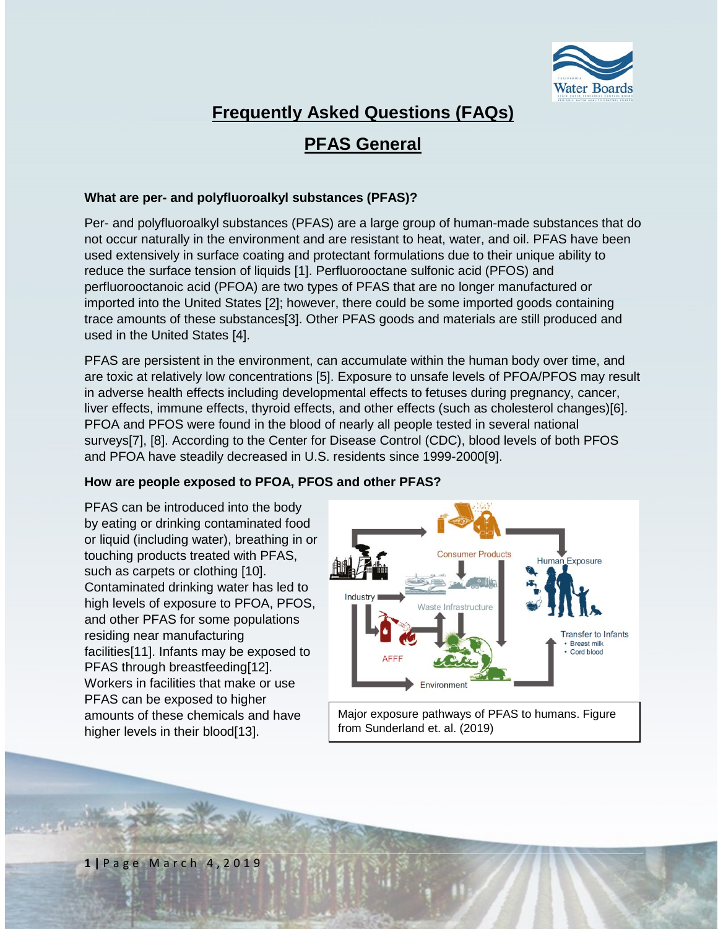

# **Frequently Asked Questions (FAQs)**

## **PFAS General**

### **What are per- and polyfluoroalkyl substances (PFAS)?**

Per- and polyfluoroalkyl substances (PFAS) are a large group of human-made substances that do not occur naturally in the environment and are resistant to heat, water, and oil. PFAS have been used extensively in surface coating and protectant formulations due to their unique ability to reduce the surface tension of liquids [1]. Perfluorooctane sulfonic acid (PFOS) and perfluorooctanoic acid (PFOA) are two types of PFAS that are no longer manufactured or imported into the United States [2]; however, there could be some imported goods containing trace amounts of these substances[3]. Other PFAS goods and materials are still produced and used in the United States [4].

PFAS are persistent in the environment, can accumulate within the human body over time, and are toxic at relatively low concentrations [5]. [Exposure to unsafe levels of PFOA/PFOS](https://www.epa.gov/sites/production/files/2016-06/documents/drinkingwaterhealthadvisories_pfoa_pfos_updated_5.31.16.pdf) may result in adverse health effects including developmental effects to fetuses during pregnancy, cancer, liver effects, immune effects, thyroid effects, and other effects (such as cholesterol changes)[6]. PFOA and PFOS were found in the blood of nearly all people tested in several national surveys[7], [8]. According to the Center for Disease Control (CDC), blood levels of both PFOS and PFOA have steadily decreased in U.S. residents since 1999-2000[9].

#### **How are people exposed to PFOA, PFOS and other PFAS?**

PFAS can be introduced into the body by eating or drinking contaminated food or liquid (including water), breathing in or touching products treated with PFAS, such as carpets or clothing [10]. Contaminated drinking water has led to [high levels of exposure to PFOA, PFOS,](https://www.ncbi.nlm.nih.gov/pmc/articles/PMC2920088/)  [and other PFAS](https://www.ncbi.nlm.nih.gov/pmc/articles/PMC2920088/) for some populations residing near manufacturing facilities[11]. [Infants may be exposed to](https://pubs.acs.org/doi/10.1021/acs.est.5b02237)  [PFAS](https://pubs.acs.org/doi/10.1021/acs.est.5b02237) through breastfeeding[12]. [Workers in facilities that make or use](https://link.springer.com/chapter/10.1007/978-3-319-15518-0_4)  [PFAS](https://link.springer.com/chapter/10.1007/978-3-319-15518-0_4) can be exposed to higher amounts of these chemicals and have higher levels in their blood[13].



Major exposure pathways of PFAS to humans. Figure from Sunderland et. al. (2019)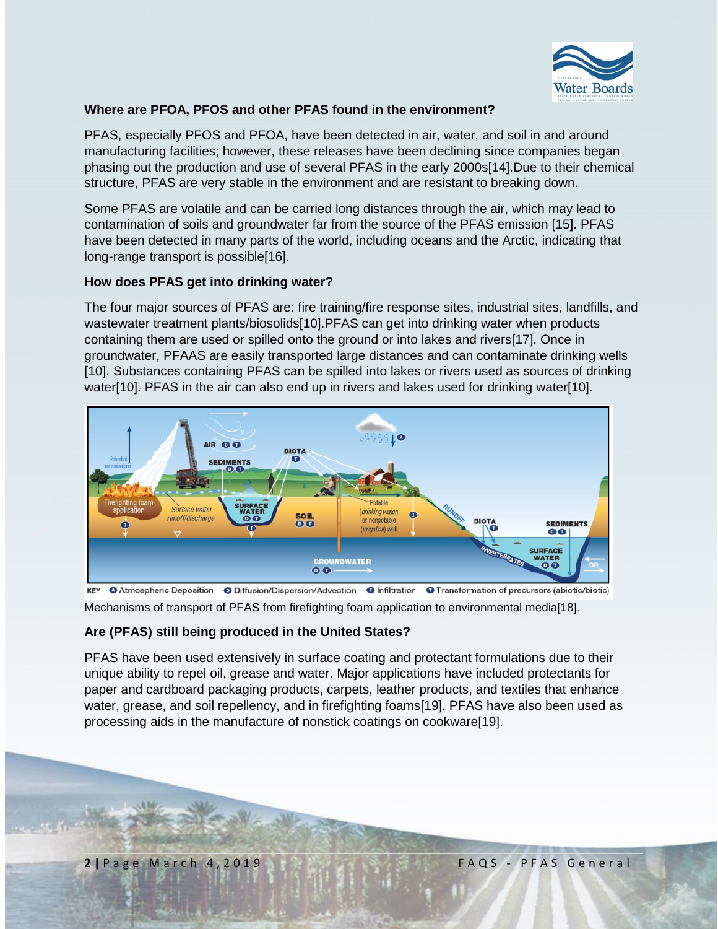

## **Where are PFOA, PFOS and other PFAS found in the environment?**

PFAS, especially PFOS and PFOA, have been detected in air, water, and soil in and around manufacturing facilities; however, these releases have been declining since companies began phasing out the production and use of several PFAS in the early 2000s[14].Due to their chemical structure, PFAS are very stable in the environment and are resistant to breaking down.

Some PFAS are volatile and can be carried long distances through the air, which may lead to contamination of soils and groundwater far from the source of the PFAS emission [15]. PFAS have been detected in many parts of the world, including [oceans and the Arctic,](https://www.ncbi.nlm.nih.gov/pubmed/22771353) indicating that long-range transport is possible[16].

#### **How does PFAS get into drinking water?**

The four major sources of PFAS are: fire training/fire response sites, industrial sites, landfills, and wastewater treatment plants/biosolids[10].PFAS can get into drinking water when products containing them are used or spilled onto the ground or into lakes and rivers[17]. Once in groundwater, PFAAS are easily transported large distances and can contaminate drinking wells [10]. Substances containing PFAS can be spilled into lakes or rivers used as sources of drinking water[10]. PFAS in the air can also end up in rivers and lakes used for drinking water[10].



O Atmospheric Deposition O Diffusion/Dispersion/Advection O Infiltration O Transformation of precursors (abiotic/biotic) **KEY** 

Mechanisms of transport of PFAS from firefighting foam application to environmental media[18].

#### **Are (PFAS) still being produced in the United States?**

PFAS have been used extensively in surface coating and protectant formulations due to their unique ability to repel oil, grease and water. Major applications have included protectants for paper and cardboard packaging products, carpets, leather products, and textiles that enhance water, grease, and soil repellency, and in firefighting foams[19]. PFAS have also been used as processing aids in the manufacture of nonstick coatings on cookware[19].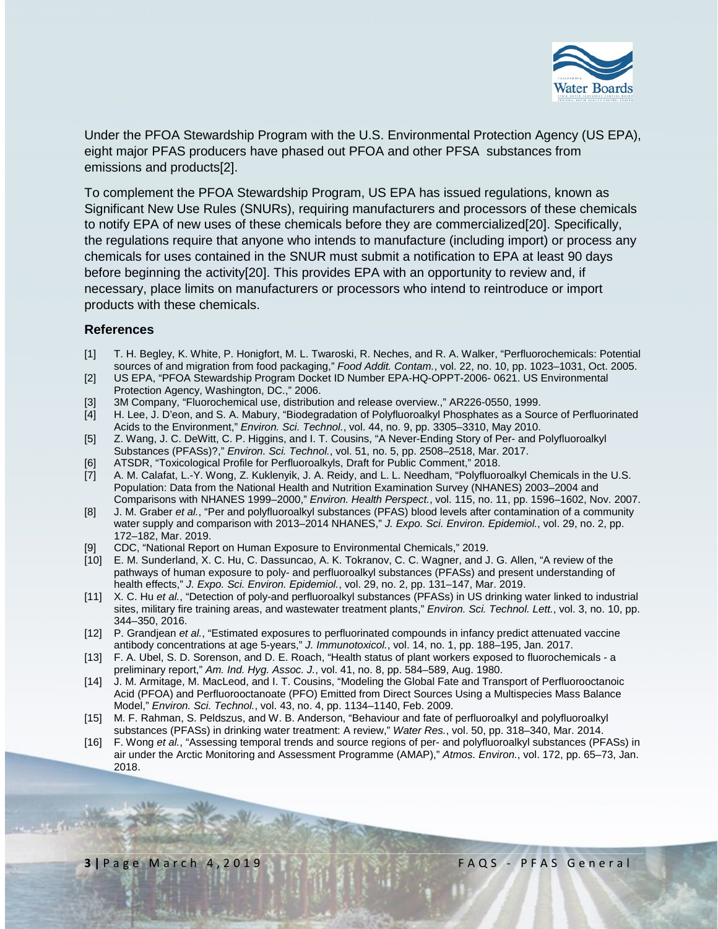

Under the [PFOA Stewardship Program](https://www.epa.gov/assessing-and-managing-chemicals-under-tsca/fact-sheet-20102015-pfoa-stewardship-program) with the U.S. Environmental Protection Agency (US EPA), eight major PFAS producers have phased out PFOA and other PFSA substances from emissions and products[2].

To complement the PFOA Stewardship Program, US EPA has issued regulations, known as Significant New Use Rules (SNURs), requiring manufacturers and processors of these chemicals to notify EPA of new uses of these chemicals before they are commercialized[20]. Specifically, the regulations require that anyone who intends to manufacture (including import) or process any chemicals for uses contained in the SNUR must submit a notification to EPA at least 90 days before beginning the activity[20]. This provides EPA with an opportunity to review and, if necessary, place limits on manufacturers or processors who intend to reintroduce or import products with these chemicals.

#### **References**

- [1] T. H. Begley, K. White, P. Honigfort, M. L. Twaroski, R. Neches, and R. A. Walker, "Perfluorochemicals: Potential sources of and migration from food packaging," *Food Addit. Contam.*, vol. 22, no. 10, pp. 1023–1031, Oct. 2005.
- [2] US EPA, "PFOA Stewardship Program Docket ID Number EPA-HQ-OPPT-2006- 0621. US Environmental Protection Agency, Washington, DC.," 2006.
- [3] 3M Company, "Fluorochemical use, distribution and release overview.," AR226-0550, 1999.
- [4] H. Lee, J. D'eon, and S. A. Mabury, "Biodegradation of Polyfluoroalkyl Phosphates as a Source of Perfluorinated Acids to the Environment," *Environ. Sci. Technol.*, vol. 44, no. 9, pp. 3305–3310, May 2010.
- [5] Z. Wang, J. C. DeWitt, C. P. Higgins, and I. T. Cousins, "A Never-Ending Story of Per- and Polyfluoroalkyl Substances (PFASs)?," *Environ. Sci. Technol.*, vol. 51, no. 5, pp. 2508–2518, Mar. 2017.
- [6] ATSDR, "Toxicological Profile for Perfluoroalkyls, Draft for Public Comment," 2018.
- [7] A. M. Calafat, L.-Y. Wong, Z. Kuklenyik, J. A. Reidy, and L. L. Needham, "Polyfluoroalkyl Chemicals in the U.S. Population: Data from the National Health and Nutrition Examination Survey (NHANES) 2003–2004 and Comparisons with NHANES 1999–2000," *Environ. Health Perspect.*, vol. 115, no. 11, pp. 1596–1602, Nov. 2007.
- [8] J. M. Graber *et al.*, "Per and polyfluoroalkyl substances (PFAS) blood levels after contamination of a community water supply and comparison with 2013–2014 NHANES," *J. Expo. Sci. Environ. Epidemiol.*, vol. 29, no. 2, pp. 172–182, Mar. 2019.
- [9] CDC, "National Report on Human Exposure to Environmental Chemicals," 2019.
- [10] E. M. Sunderland, X. C. Hu, C. Dassuncao, A. K. Tokranov, C. C. Wagner, and J. G. Allen, "A review of the pathways of human exposure to poly- and perfluoroalkyl substances (PFASs) and present understanding of health effects," *J. Expo. Sci. Environ. Epidemiol.*, vol. 29, no. 2, pp. 131–147, Mar. 2019.
- [11] X. C. Hu *et al.*, "Detection of poly-and perfluoroalkyl substances (PFASs) in US drinking water linked to industrial sites, military fire training areas, and wastewater treatment plants," *Environ. Sci. Technol. Lett.*, vol. 3, no. 10, pp. 344–350, 2016.
- [12] P. Grandjean *et al.*, "Estimated exposures to perfluorinated compounds in infancy predict attenuated vaccine antibody concentrations at age 5-years," *J. Immunotoxicol.*, vol. 14, no. 1, pp. 188–195, Jan. 2017.
- [13] F. A. Ubel, S. D. Sorenson, and D. E. Roach, "Health status of plant workers exposed to fluorochemicals a preliminary report," *Am. Ind. Hyg. Assoc. J.*, vol. 41, no. 8, pp. 584–589, Aug. 1980.
- [14] J. M. Armitage, M. MacLeod, and I. T. Cousins, "Modeling the Global Fate and Transport of Perfluorooctanoic Acid (PFOA) and Perfluorooctanoate (PFO) Emitted from Direct Sources Using a Multispecies Mass Balance Model," *Environ. Sci. Technol.*, vol. 43, no. 4, pp. 1134–1140, Feb. 2009.
- [15] M. F. Rahman, S. Peldszus, and W. B. Anderson, "Behaviour and fate of perfluoroalkyl and polyfluoroalkyl substances (PFASs) in drinking water treatment: A review," *Water Res.*, vol. 50, pp. 318–340, Mar. 2014.
- [16] F. Wong *et al.*, "Assessing temporal trends and source regions of per- and polyfluoroalkyl substances (PFASs) in air under the Arctic Monitoring and Assessment Programme (AMAP)," *Atmos. Environ.*, vol. 172, pp. 65–73, Jan. 2018.